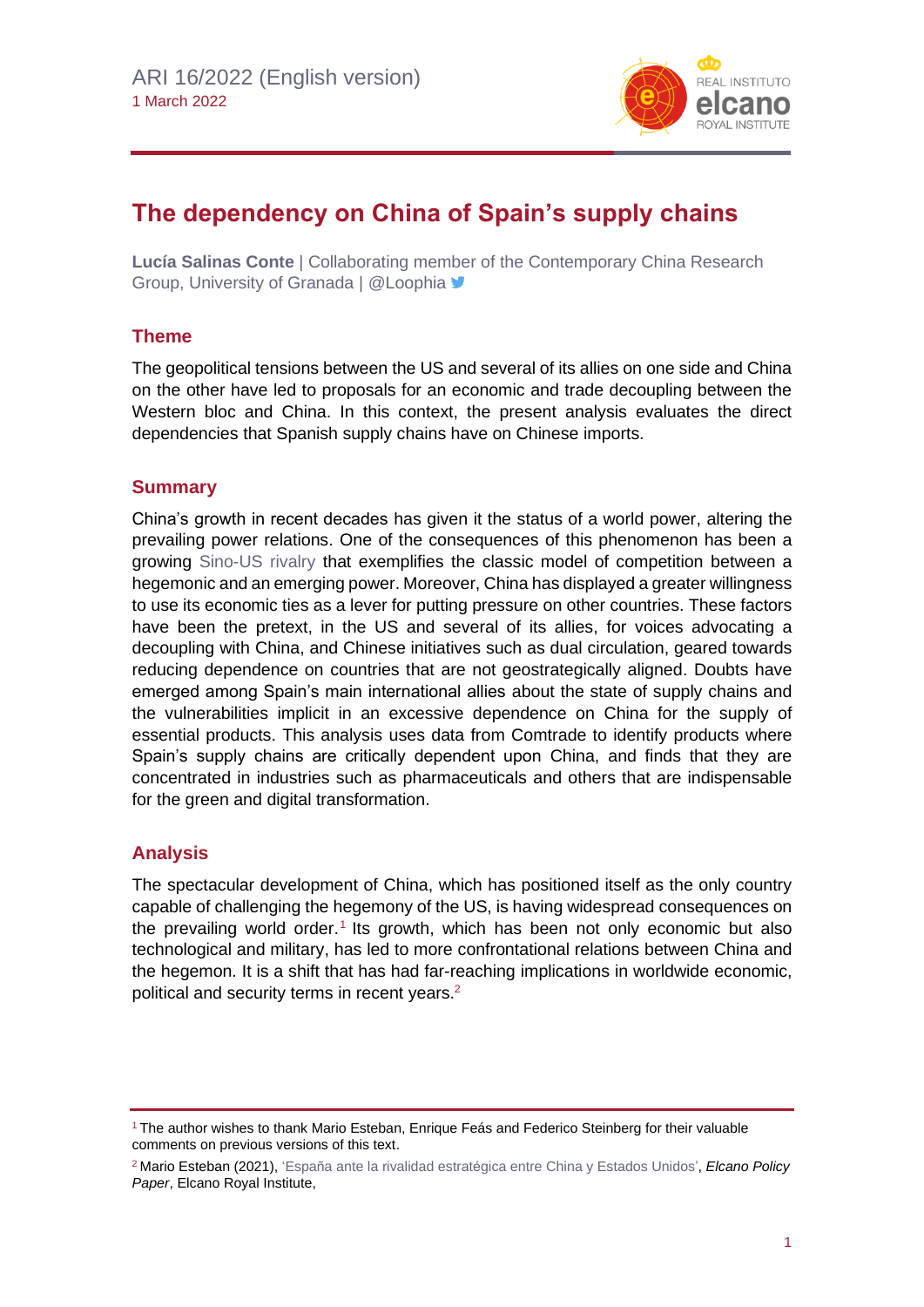

# **The dependency on China of Spain's supply chains**

**Lucía Salinas Conte** | Collaborating member of the Contemporary China Research Group, University of Granada | @Loophia

# **Theme**

The geopolitical tensions between the US and several of its allies on one side and China on the other have led to proposals for an economic and trade decoupling between the Western bloc and China. In this context, the present analysis evaluates the direct dependencies that Spanish supply chains have on Chinese imports.

# **Summary**

China's growth in recent decades has given it the status of a world power, altering the prevailing power relations. One of the consequences of this phenomenon has been a growing [Sino-US](https://www.realinstitutoelcano.org/policy-paper/espana-ante-la-rivalidad-estrategica-entre-china-y-estados-unidos-2/) rivalry that exemplifies the classic model of competition between a hegemonic and an emerging power. Moreover, China has displayed a greater willingness to use its economic ties as a lever for putting pressure on other countries. These factors have been the pretext, in the US and several of its allies, for voices advocating a decoupling with China, and Chinese initiatives such as dual circulation, geared towards reducing dependence on countries that are not geostrategically aligned. Doubts have emerged among Spain's main international allies about the state of supply chains and the vulnerabilities implicit in an excessive dependence on China for the supply of essential products. This analysis uses data from Comtrade to identify products where Spain's supply chains are critically dependent upon China, and finds that they are concentrated in industries such as pharmaceuticals and others that are indispensable for the green and digital transformation.

# **Analysis**

The spectacular development of China, which has positioned itself as the only country capable of challenging the hegemony of the US, is having widespread consequences on the prevailing world order.<sup>1</sup> Its growth, which has been not only economic but also technological and military, has led to more confrontational relations between China and the hegemon. It is a shift that has had far-reaching implications in worldwide economic, political and security terms in recent years.<sup>2</sup>

<sup>&</sup>lt;sup>1</sup> The author wishes to thank Mario Esteban, Enrique Feás and Federico Steinberg for their valuable comments on previous versions of this text.

<sup>2</sup> Mario Esteban (2021), ['España ante la rivalidad estratégica entre China y](http://www.realinstitutoelcano.org/wps/portal/rielcano_es/contenido?WCM_GLOBAL_CONTEXT=/elcano/elcano_es/zonas_es/asia-pacifico/policy-paper-espana-ante-rivalidad-estrategica-entre-china-y-estados-unidos) Estados Unidos', *Elcano Policy Paper*, Elcano Royal Institute,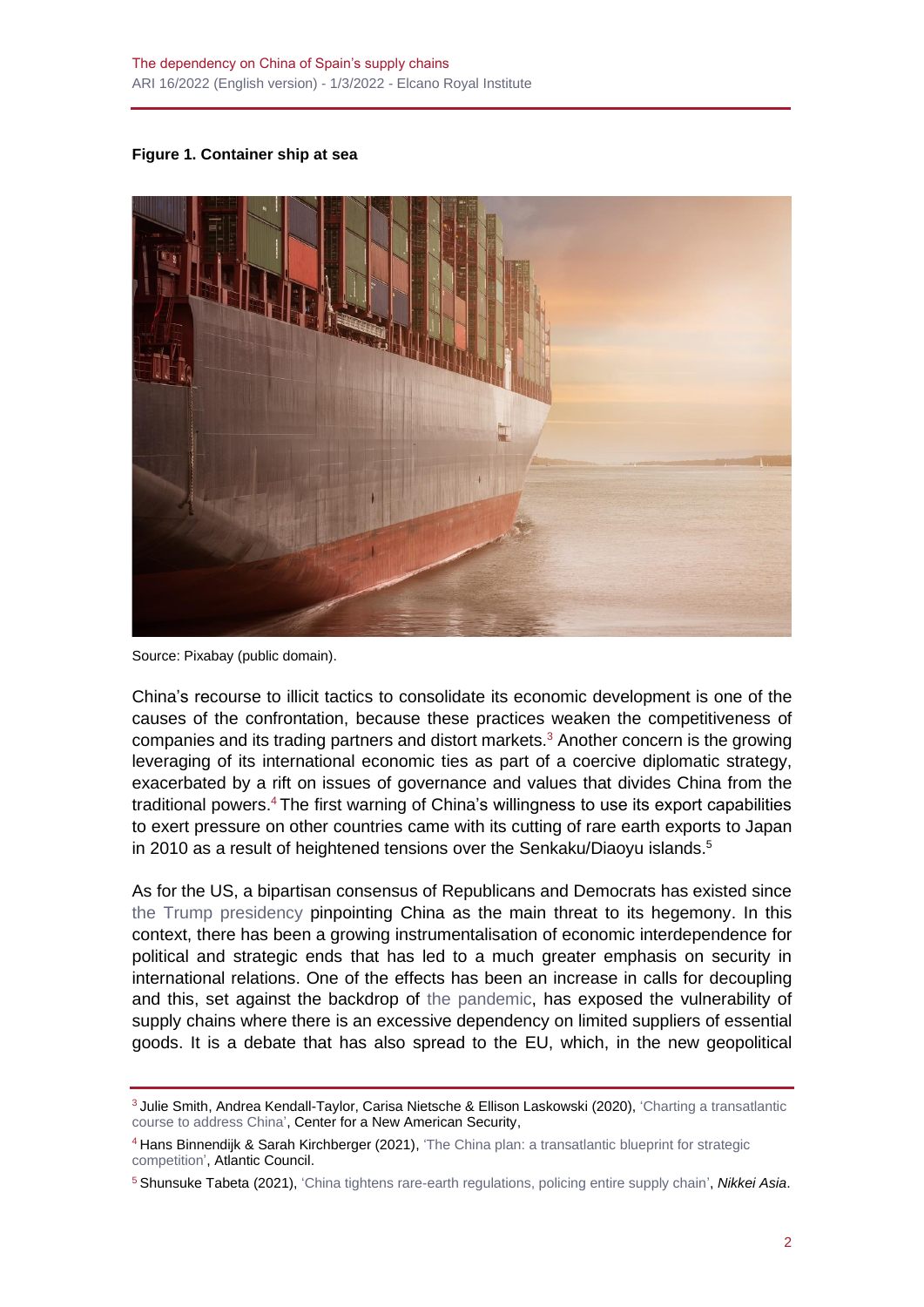**Figure 1. Container ship at sea**



Source: Pixabay (public domain).

China's recourse to illicit tactics to consolidate its economic development is one of the causes of the confrontation, because these practices weaken the competitiveness of companies and its trading partners and distort markets. <sup>3</sup> Another concern is the growing leveraging of its international economic ties as part of a coercive diplomatic strategy, exacerbated by a rift on issues of governance and values that divides China from the traditional powers. <sup>4</sup> The first warning of China's willingness to use its export capabilities to exert pressure on other countries came with its cutting of rare earth exports to Japan in 2010 as a result of heightened tensions over the Senkaku/Diaoyu islands. 5

As for the US, a bipartisan consensus of Republicans and Democrats has existed since [the Trump presidency](https://www.realinstitutoelcano.org/en/trump-against-the-future-of-china/) pinpointing China as the main threat to its hegemony. In this context, there has been a growing instrumentalisation of economic interdependence for political and strategic ends that has led to a much greater emphasis on security in international relations. One of the effects has been an increase in calls for decoupling and this, set against the backdrop of [the pandemic,](https://especiales.realinstitutoelcano.org/coronavirus/?lang=en) has exposed the vulnerability of supply chains where there is an excessive dependency on limited suppliers of essential goods. It is a debate that has also spread to the EU, which, in the new geopolitical

<sup>3</sup> Julie Smith, Andrea Kendall-Taylor, Carisa Nietsche & Ellison Laskowski (2020), ['Charting a transatlantic](https://www.gmfus.org/sites/default/files/CNAS-Report-Transatlantic-August-2020-final.pdf)  [course to address China',](https://www.gmfus.org/sites/default/files/CNAS-Report-Transatlantic-August-2020-final.pdf) Center for a New American Security,

<sup>4</sup> Hans Binnendijk & Sarah Kirchberger (2021), 'The China plan: a [transatlantic blueprint for strategic](https://www.atlanticcouncil.org/wp-content/uploads/2021/03/The-China-Plan-A-Transatlantic-Blueprint.pdf)  [competition',](https://www.atlanticcouncil.org/wp-content/uploads/2021/03/The-China-Plan-A-Transatlantic-Blueprint.pdf) Atlantic Council.

<sup>5</sup> Shunsuke Tabeta (2021), ['China tightens rare-earth regulations, policing entire supply chain',](https://asia.nikkei.com/Business/Markets/Commodities/China-tightens-rare-earth-regulations-policing-entire-supply-chain) *Nikkei Asia*.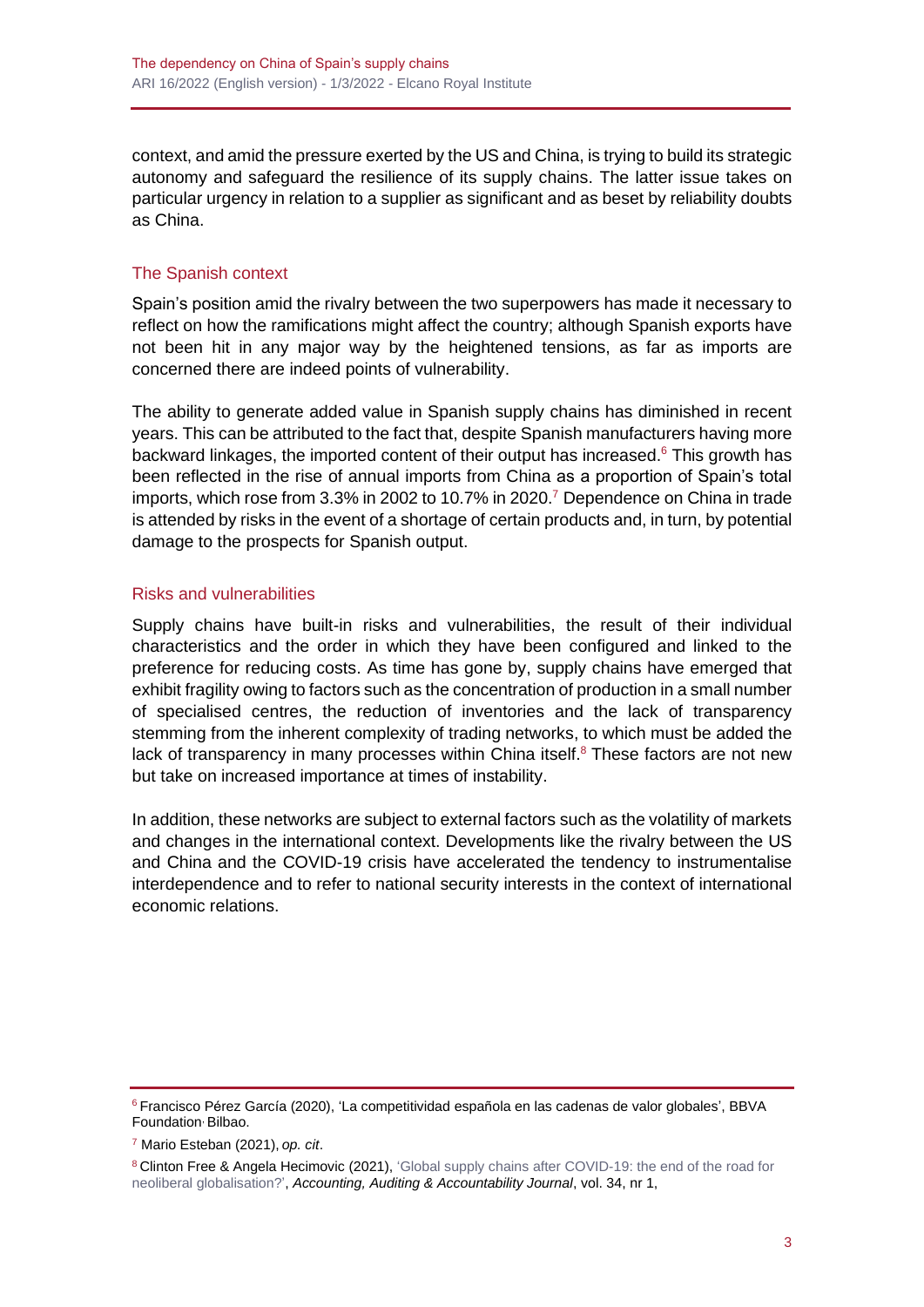context, and amid the pressure exerted by the US and China, is trying to build its strategic autonomy and safeguard the resilience of its supply chains. The latter issue takes on particular urgency in relation to a supplier as significant and as beset by reliability doubts as China.

## The Spanish context

Spain's position amid the rivalry between the two superpowers has made it necessary to reflect on how the ramifications might affect the country; although Spanish exports have not been hit in any major way by the heightened tensions, as far as imports are concerned there are indeed points of vulnerability.

The ability to generate added value in Spanish supply chains has diminished in recent years. This can be attributed to the fact that, despite Spanish manufacturers having more backward linkages, the imported content of their output has increased.<sup>6</sup> This growth has been reflected in the rise of annual imports from China as a proportion of Spain's total imports, which rose from 3.3% in 2002 to 10.7% in 2020.<sup>7</sup> Dependence on China in trade is attended by risks in the event of a shortage of certain products and, in turn, by potential damage to the prospects for Spanish output.

### Risks and vulnerabilities

Supply chains have built-in risks and vulnerabilities, the result of their individual characteristics and the order in which they have been configured and linked to the preference for reducing costs. As time has gone by, supply chains have emerged that exhibit fragility owing to factors such as the concentration of production in a small number of specialised centres, the reduction of inventories and the lack of transparency stemming from the inherent complexity of trading networks, to which must be added the lack of transparency in many processes within China itself.<sup>8</sup> These factors are not new but take on increased importance at times of instability.

In addition, these networks are subject to external factors such as the volatility of markets and changes in the international context. Developments like the rivalry between the US and China and the COVID-19 crisis have accelerated the tendency to instrumentalise interdependence and to refer to national security interests in the context of international economic relations.

<sup>6</sup> Francisco Pérez García (2020), 'La competitividad española en las cadenas de valor globales', BBVA Foundation<sup>,</sup> Bilbao.

<sup>7</sup> Mario Esteban (2021), *op. cit*.

<sup>&</sup>lt;sup>8</sup> Clinton Free & Angela Hecimovic (2021), ['Global supply chains after COVID-19: the end of the road for](https://www.emerald.com/insight/content/doi/10.1108/AAAJ-06-2020-4634/full/html) [neoliberal globalisation?',](https://www.emerald.com/insight/content/doi/10.1108/AAAJ-06-2020-4634/full/html) *Accounting, Auditing & Accountability Journal*, vol. 34, nr 1,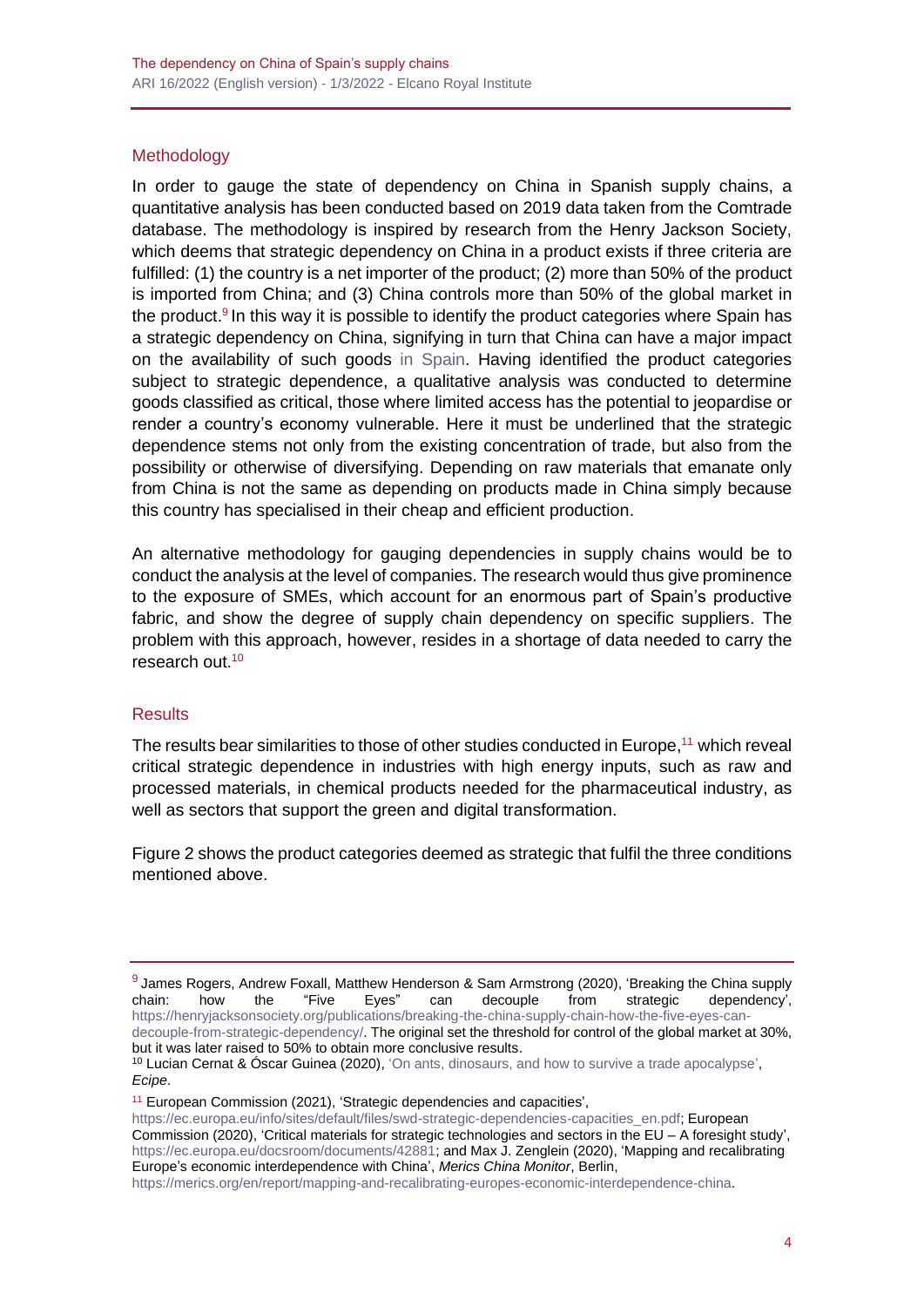## **Methodology**

In order to gauge the state of dependency on China in Spanish supply chains, a quantitative analysis has been conducted based on 2019 data taken from the Comtrade database. The methodology is inspired by research from the Henry Jackson Society, which deems that strategic dependency on China in a product exists if three criteria are fulfilled: (1) the country is a net importer of the product; (2) more than 50% of the product is imported from China; and (3) China controls more than 50% of the global market in the product.<sup>9</sup> In this way it is possible to identify the product categories where Spain has a strategic dependency on China, signifying in turn that China can have a major impact on the availability of such goods [in Spain.](https://www.realinstitutoelcano.org/en/analyses/spain-china-relations-and-covid-19-the-bright-and-dark-sides-of-a-necessary-partnership-for-spain/) Having identified the product categories subject to strategic dependence, a qualitative analysis was conducted to determine goods classified as critical, those where limited access has the potential to jeopardise or render a country's economy vulnerable. Here it must be underlined that the strategic dependence stems not only from the existing concentration of trade, but also from the possibility or otherwise of diversifying. Depending on raw materials that emanate only from China is not the same as depending on products made in China simply because this country has specialised in their cheap and efficient production.

An alternative methodology for gauging dependencies in supply chains would be to conduct the analysis at the level of companies. The research would thus give prominence to the exposure of SMEs, which account for an enormous part of Spain's productive fabric, and show the degree of supply chain dependency on specific suppliers. The problem with this approach, however, resides in a shortage of data needed to carry the research out.<sup>10</sup>

### **Results**

The results bear similarities to those of other studies conducted in Europe,<sup>11</sup> which reveal critical strategic dependence in industries with high energy inputs, such as raw and processed materials, in chemical products needed for the pharmaceutical industry, as well as sectors that support the green and digital transformation.

Figure 2 shows the product categories deemed as strategic that fulfil the three conditions mentioned above.

but it was later raised to 50% to obtain more conclusive results.

<sup>11</sup> European Commission (2021), 'Strategic dependencies and capacities',

[https://merics.org/en/report/mapping-and-recalibrating-europes-economic-interdependence-china.](https://merics.org/en/report/mapping-and-recalibrating-europes-economic-interdependence-china)

<sup>&</sup>lt;sup>9</sup> James Rogers, Andrew Foxall, Matthew Henderson & Sam Armstrong (2020), 'Breaking the China supply chain: how the "Five Eyes" can decouple from strategic dependency', [https://henryjacksonsociety.org/publications/breaking-the-china-supply-chain-how-the-five-eyes-can](https://henryjacksonsociety.org/publications/breaking-the-china-supply-chain-how-the-five-eyes-can-decouple-from-strategic-dependency/)[decouple-from-strategic-dependency/.](https://henryjacksonsociety.org/publications/breaking-the-china-supply-chain-how-the-five-eyes-can-decouple-from-strategic-dependency/) The original set the threshold for control of the global market at 30%,

<sup>&</sup>lt;sup>10</sup> Lucian Cernat & Óscar Guinea (2020)[, 'On ants, dinosaurs, and how to survive a trade apocalypse',](https://ecipe.org/blog/how-survive-trade-apocalypse/) *Ecipe*.

[https://ec.europa.eu/info/sites/default/files/swd-strategic-dependencies-capacities\\_en.pdf;](https://ec.europa.eu/info/sites/default/files/swd-strategic-dependencies-capacities_en.pdf) European Commission (2020), 'Critical materials for strategic technologies and sectors in the EU – A foresight study', [https://ec.europa.eu/docsroom/documents/42881;](https://ec.europa.eu/docsroom/documents/42881) and Max J. Zenglein (2020), 'Mapping and recalibrating Europe's economic interdependence with China', *Merics China Monitor*, Berlin,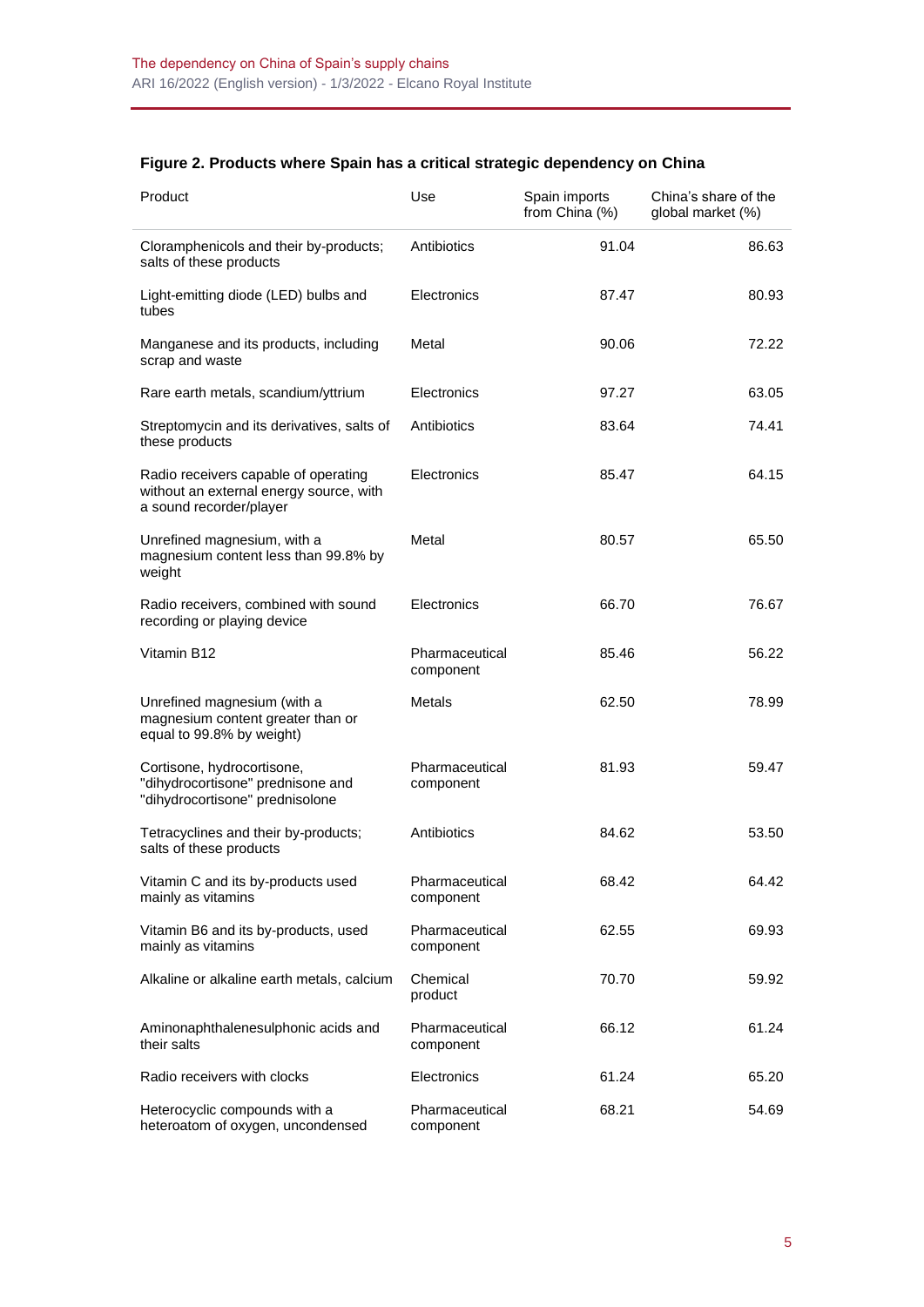| Figure 2. Products where Spain has a critical strategic dependency on China |  |  |  |
|-----------------------------------------------------------------------------|--|--|--|
|                                                                             |  |  |  |

| Product                                                                                                    | Use                         | Spain imports<br>from China (%) | China's share of the<br>global market (%) |
|------------------------------------------------------------------------------------------------------------|-----------------------------|---------------------------------|-------------------------------------------|
| Cloramphenicols and their by-products;<br>salts of these products                                          | Antibiotics                 | 91.04                           | 86.63                                     |
| Light-emitting diode (LED) bulbs and<br>tubes                                                              | Electronics                 | 87.47                           | 80.93                                     |
| Manganese and its products, including<br>scrap and waste                                                   | Metal                       | 90.06                           | 72.22                                     |
| Rare earth metals, scandium/yttrium                                                                        | Electronics                 | 97.27                           | 63.05                                     |
| Streptomycin and its derivatives, salts of<br>these products                                               | Antibiotics                 | 83.64                           | 74.41                                     |
| Radio receivers capable of operating<br>without an external energy source, with<br>a sound recorder/player | Electronics                 | 85.47                           | 64.15                                     |
| Unrefined magnesium, with a<br>magnesium content less than 99.8% by<br>weight                              | Metal                       | 80.57                           | 65.50                                     |
| Radio receivers, combined with sound<br>recording or playing device                                        | Electronics                 | 66.70                           | 76.67                                     |
| Vitamin B12                                                                                                | Pharmaceutical<br>component | 85.46                           | 56.22                                     |
| Unrefined magnesium (with a<br>magnesium content greater than or<br>equal to 99.8% by weight)              | Metals                      | 62.50                           | 78.99                                     |
| Cortisone, hydrocortisone,<br>"dihydrocortisone" prednisone and<br>"dihydrocortisone" prednisolone         | Pharmaceutical<br>component | 81.93                           | 59.47                                     |
| Tetracyclines and their by-products;<br>salts of these products                                            | Antibiotics                 | 84.62                           | 53.50                                     |
| Vitamin C and its by-products used<br>mainly as vitamins                                                   | Pharmaceutical<br>component | 68.42                           | 64.42                                     |
| Vitamin B6 and its by-products, used<br>mainly as vitamins                                                 | Pharmaceutical<br>component | 62.55                           | 69.93                                     |
| Alkaline or alkaline earth metals, calcium                                                                 | Chemical<br>product         | 70.70                           | 59.92                                     |
| Aminonaphthalenesulphonic acids and<br>their salts                                                         | Pharmaceutical<br>component | 66.12                           | 61.24                                     |
| Radio receivers with clocks                                                                                | Electronics                 | 61.24                           | 65.20                                     |
| Heterocyclic compounds with a<br>heteroatom of oxygen, uncondensed                                         | Pharmaceutical<br>component | 68.21                           | 54.69                                     |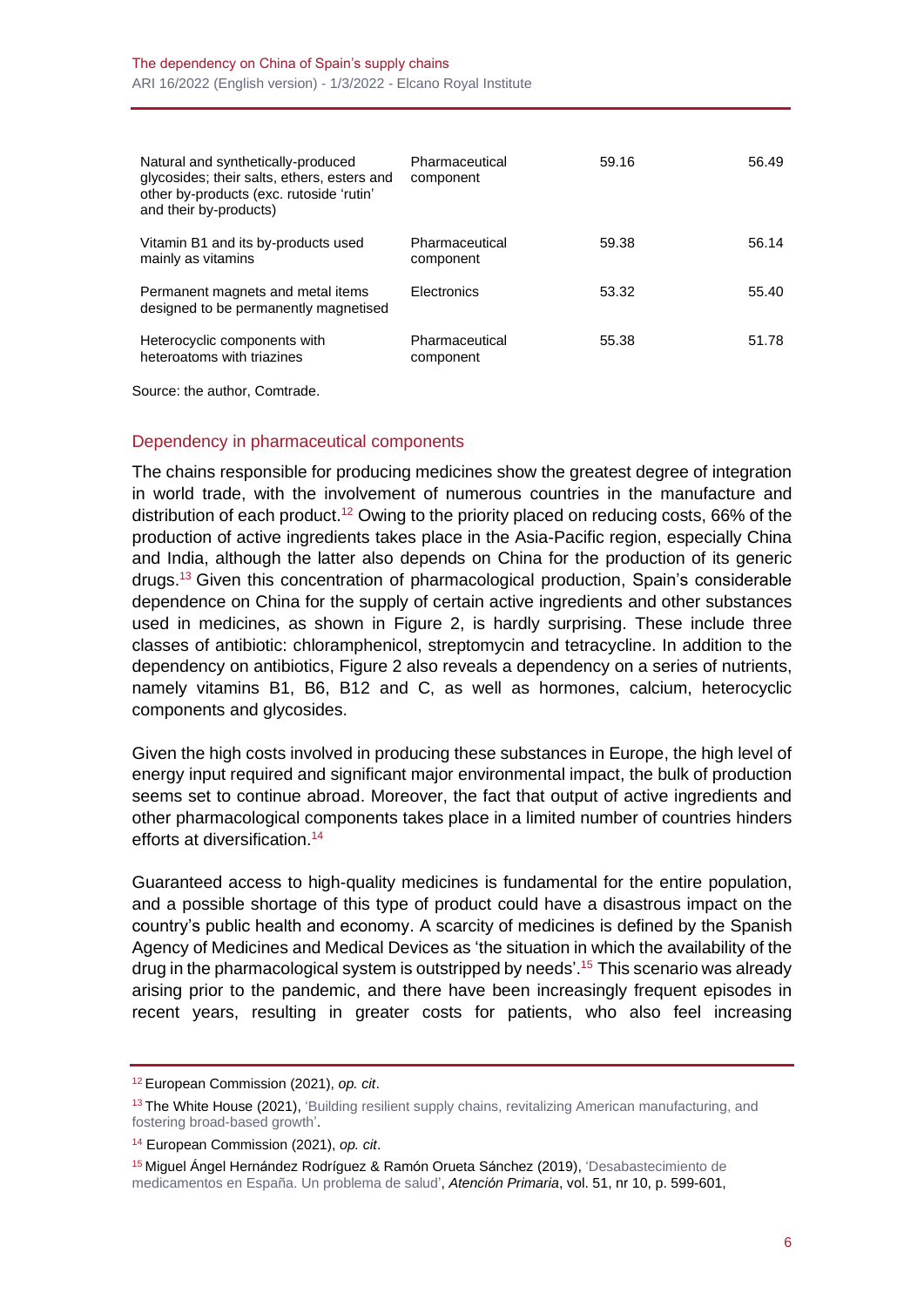| Natural and synthetically-produced<br>glycosides; their salts, ethers, esters and<br>other by-products (exc. rutoside 'rutin'<br>and their by-products) | Pharmaceutical<br>component | 59.16 | 56.49 |
|---------------------------------------------------------------------------------------------------------------------------------------------------------|-----------------------------|-------|-------|
| Vitamin B1 and its by-products used<br>mainly as vitamins                                                                                               | Pharmaceutical<br>component | 59.38 | 56.14 |
| Permanent magnets and metal items<br>designed to be permanently magnetised                                                                              | <b>Electronics</b>          | 53.32 | 55.40 |
| Heterocyclic components with<br>heteroatoms with triazines                                                                                              | Pharmaceutical<br>component | 55.38 | 51.78 |

Source: the author, Comtrade.

#### Dependency in pharmaceutical components

The chains responsible for producing medicines show the greatest degree of integration in world trade, with the involvement of numerous countries in the manufacture and distribution of each product.<sup>12</sup> Owing to the priority placed on reducing costs, 66% of the production of active ingredients takes place in the Asia-Pacific region, especially China and India, although the latter also depends on China for the production of its generic drugs. <sup>13</sup> Given this concentration of pharmacological production, Spain's considerable dependence on China for the supply of certain active ingredients and other substances used in medicines, as shown in Figure 2, is hardly surprising. These include three classes of antibiotic: chloramphenicol, streptomycin and tetracycline. In addition to the dependency on antibiotics, Figure 2 also reveals a dependency on a series of nutrients, namely vitamins B1, B6, B12 and C, as well as hormones, calcium, heterocyclic components and glycosides.

Given the high costs involved in producing these substances in Europe, the high level of energy input required and significant major environmental impact, the bulk of production seems set to continue abroad. Moreover, the fact that output of active ingredients and other pharmacological components takes place in a limited number of countries hinders efforts at diversification. 14

Guaranteed access to high-quality medicines is fundamental for the entire population, and a possible shortage of this type of product could have a disastrous impact on the country's public health and economy. A scarcity of medicines is defined by the Spanish Agency of Medicines and Medical Devices as 'the situation in which the availability of the drug in the pharmacological system is outstripped by needs'. <sup>15</sup> This scenario was already arising prior to the pandemic, and there have been increasingly frequent episodes in recent years, resulting in greater costs for patients, who also feel increasing

<sup>12</sup> European Commission (2021), *op. cit*.

<sup>&</sup>lt;sup>13</sup> The White House (2021), 'Building resilient supply chains, revitalizing American manufacturing, and [fostering broad-based growth'.](https://www.whitehouse.gov/wp-content/uploads/2021/06/100-day-supply-chain-review-report.pdf?utm_source=sfmc%E2%80%8B&utm_medium=email%E2%80%8B&utm_campaign=20210610_Global_Manufacturing_Economic_Update_June_Members)

<sup>14</sup> European Commission (2021), *op. cit*.

<sup>15</sup> Miguel Ángel Hernández Rodríguez & Ramón Orueta Sánchez (2019), ['Desabastecimiento de](https://www.ncbi.nlm.nih.gov/pmc/articles/PMC6930949/)  [medicamentos en España. Un problema de salud',](https://www.ncbi.nlm.nih.gov/pmc/articles/PMC6930949/) *Atención Primaria*, vol. 51, nr 10, p. 599-601,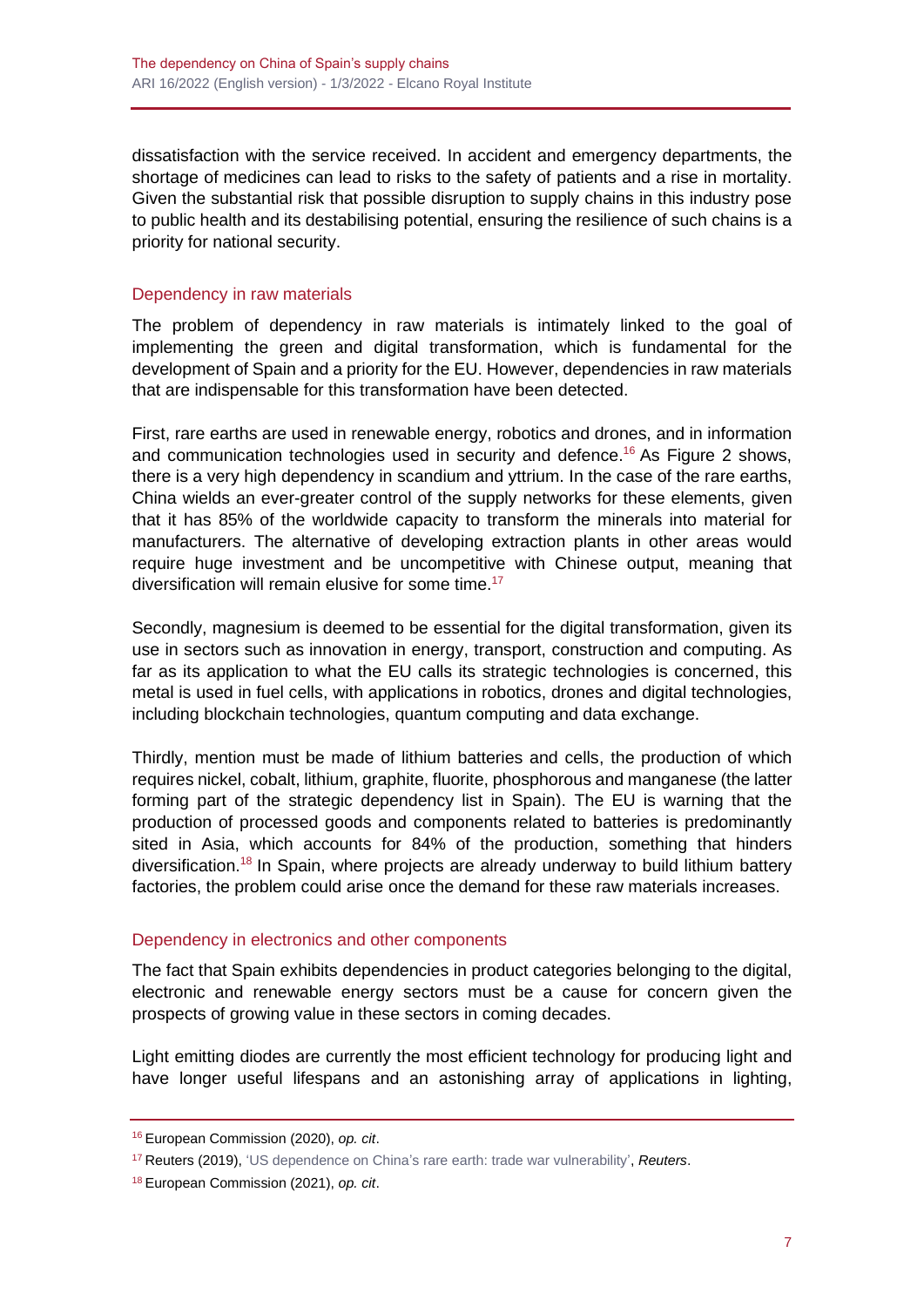dissatisfaction with the service received. In accident and emergency departments, the shortage of medicines can lead to risks to the safety of patients and a rise in mortality. Given the substantial risk that possible disruption to supply chains in this industry pose to public health and its destabilising potential, ensuring the resilience of such chains is a priority for national security.

## Dependency in raw materials

The problem of dependency in raw materials is intimately linked to the goal of implementing the green and digital transformation, which is fundamental for the development of Spain and a priority for the EU. However, dependencies in raw materials that are indispensable for this transformation have been detected.

First, rare earths are used in renewable energy, robotics and drones, and in information and communication technologies used in security and defence. <sup>16</sup> As Figure 2 shows, there is a very high dependency in scandium and yttrium. In the case of the rare earths, China wields an ever-greater control of the supply networks for these elements, given that it has 85% of the worldwide capacity to transform the minerals into material for manufacturers. The alternative of developing extraction plants in other areas would require huge investment and be uncompetitive with Chinese output, meaning that diversification will remain elusive for some time. 17

Secondly, magnesium is deemed to be essential for the digital transformation, given its use in sectors such as innovation in energy, transport, construction and computing. As far as its application to what the EU calls its strategic technologies is concerned, this metal is used in fuel cells, with applications in robotics, drones and digital technologies, including blockchain technologies, quantum computing and data exchange.

Thirdly, mention must be made of lithium batteries and cells, the production of which requires nickel, cobalt, lithium, graphite, fluorite, phosphorous and manganese (the latter forming part of the strategic dependency list in Spain). The EU is warning that the production of processed goods and components related to batteries is predominantly sited in Asia, which accounts for 84% of the production, something that hinders diversification.<sup>18</sup> In Spain, where projects are already underway to build lithium battery factories, the problem could arise once the demand for these raw materials increases.

### Dependency in electronics and other components

The fact that Spain exhibits dependencies in product categories belonging to the digital, electronic and renewable energy sectors must be a cause for concern given the prospects of growing value in these sectors in coming decades.

Light emitting diodes are currently the most efficient technology for producing light and have longer useful lifespans and an astonishing array of applications in lighting,

<sup>16</sup> European Commission (2020), *op. cit*.

<sup>17</sup> Reuters (2019), ['US dependence on China's rare earth: trade war](https://www.reuters.com/article/us-usa-trade-china-rareearth-explainer/u-s-dependence-on-chinas-rare-earth-trade-war-vulnerability-idUSKCN1TS3AQ) vulnerability', *Reuters*.

<sup>18</sup> European Commission (2021), *op. cit*.